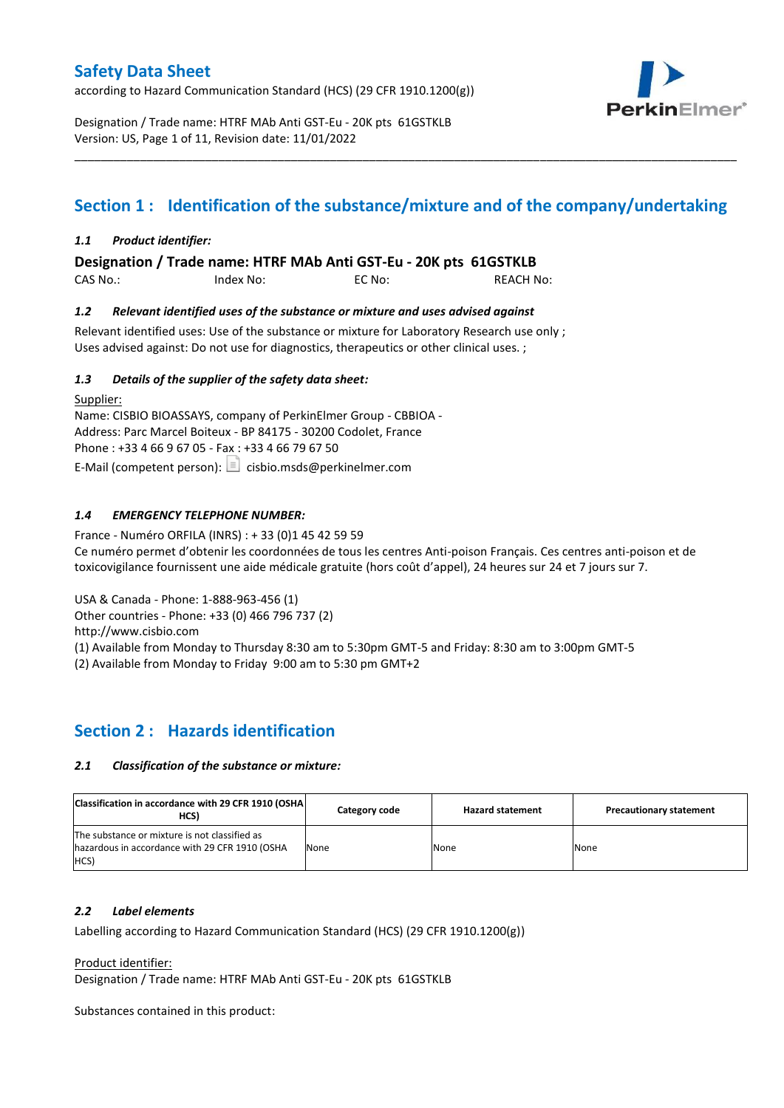according to Hazard Communication Standard (HCS) (29 CFR 1910.1200(g))



Designation / Trade name: HTRF MAb Anti GST-Eu - 20K pts 61GSTKLB Version: US, Page 1 of 11, Revision date: 11/01/2022

# **Section 1 : Identification of the substance/mixture and of the company/undertaking**

\_\_\_\_\_\_\_\_\_\_\_\_\_\_\_\_\_\_\_\_\_\_\_\_\_\_\_\_\_\_\_\_\_\_\_\_\_\_\_\_\_\_\_\_\_\_\_\_\_\_\_\_\_\_\_\_\_\_\_\_\_\_\_\_\_\_\_\_\_\_\_\_\_\_\_\_\_\_\_\_\_\_\_\_\_\_\_\_\_\_\_\_\_\_\_\_\_\_\_\_\_

#### *1.1 Product identifier:*

**Designation / Trade name: HTRF MAb Anti GST-Eu - 20K pts 61GSTKLB** 

| CAS No.: | Index No: | EC No: | <b>REACH No:</b> |
|----------|-----------|--------|------------------|
|          |           |        |                  |

#### *1.2 Relevant identified uses of the substance or mixture and uses advised against*

Relevant identified uses: Use of the substance or mixture for Laboratory Research use only ; Uses advised against: Do not use for diagnostics, therapeutics or other clinical uses. ;

#### *1.3 Details of the supplier of the safety data sheet:*

Supplier: Name: CISBIO BIOASSAYS, company of PerkinElmer Group - CBBIOA - Address: Parc Marcel Boiteux - BP 84175 - 30200 Codolet, France Phone : +33 4 66 9 67 05 - Fax : +33 4 66 79 67 50 E-Mail (competent person):  $\boxed{\equiv}$  cisbio.msds@perkinelmer.com

#### *1.4 EMERGENCY TELEPHONE NUMBER:*

France - Numéro ORFILA (INRS) : + 33 (0)1 45 42 59 59 Ce numéro permet d'obtenir les coordonnées de tous les centres Anti-poison Français. Ces centres anti-poison et de toxicovigilance fournissent une aide médicale gratuite (hors coût d'appel), 24 heures sur 24 et 7 jours sur 7.

USA & Canada - Phone: 1-888-963-456 (1)

Other countries - Phone: +33 (0) 466 796 737 (2)

http://www.cisbio.com

(1) Available from Monday to Thursday 8:30 am to 5:30pm GMT-5 and Friday: 8:30 am to 3:00pm GMT-5

(2) Available from Monday to Friday 9:00 am to 5:30 pm GMT+2

### **Section 2 : Hazards identification**

#### *2.1 Classification of the substance or mixture:*

| Classification in accordance with 29 CFR 1910 (OSHA)<br>HCS)                                            | Category code | <b>Hazard statement</b> | <b>Precautionary statement</b> |
|---------------------------------------------------------------------------------------------------------|---------------|-------------------------|--------------------------------|
| The substance or mixture is not classified as<br>hazardous in accordance with 29 CFR 1910 (OSHA<br>HCS) | None          | None                    | None                           |

#### *2.2 Label elements*

Labelling according to Hazard Communication Standard (HCS) (29 CFR 1910.1200(g))

Product identifier:

Designation / Trade name: HTRF MAb Anti GST-Eu - 20K pts 61GSTKLB

Substances contained in this product: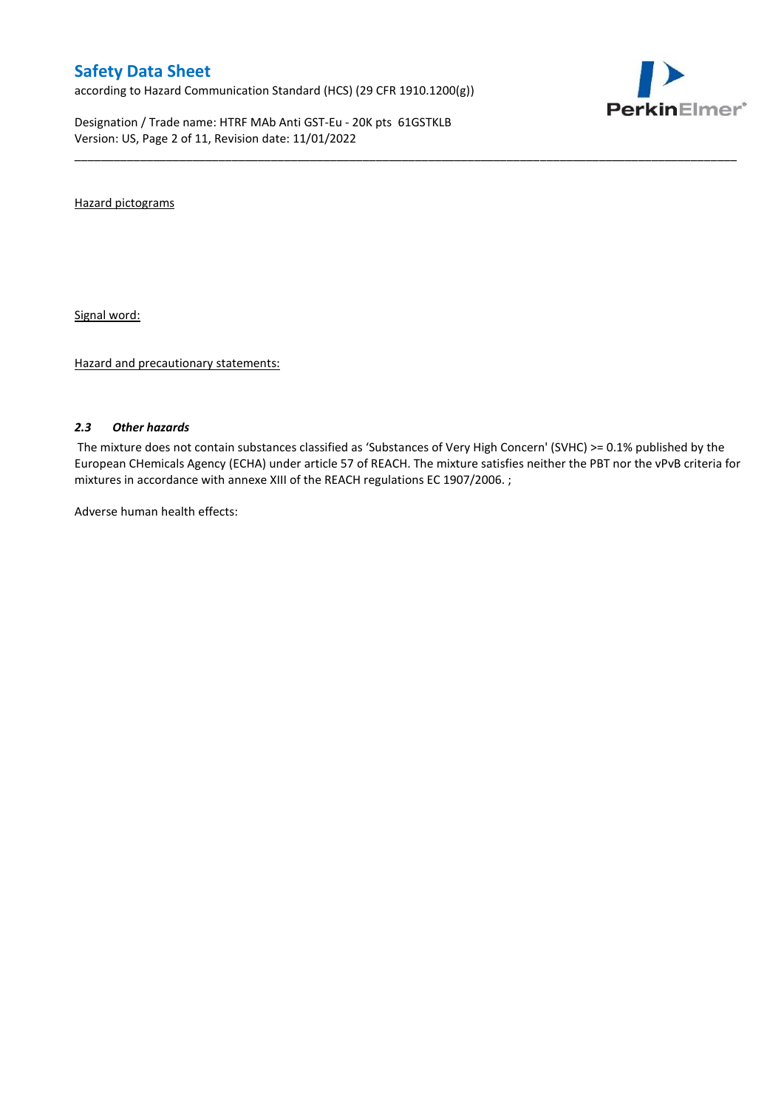according to Hazard Communication Standard (HCS) (29 CFR 1910.1200(g))

Designation / Trade name: HTRF MAb Anti GST-Eu - 20K pts 61GSTKLB Version: US, Page 2 of 11, Revision date: 11/01/2022



Hazard pictograms

Signal word:

Hazard and precautionary statements:

#### *2.3 Other hazards*

The mixture does not contain substances classified as 'Substances of Very High Concern' (SVHC) >= 0.1% published by the European CHemicals Agency (ECHA) under article 57 of REACH. The mixture satisfies neither the PBT nor the vPvB criteria for mixtures in accordance with annexe XIII of the REACH regulations EC 1907/2006. ;

\_\_\_\_\_\_\_\_\_\_\_\_\_\_\_\_\_\_\_\_\_\_\_\_\_\_\_\_\_\_\_\_\_\_\_\_\_\_\_\_\_\_\_\_\_\_\_\_\_\_\_\_\_\_\_\_\_\_\_\_\_\_\_\_\_\_\_\_\_\_\_\_\_\_\_\_\_\_\_\_\_\_\_\_\_\_\_\_\_\_\_\_\_\_\_\_\_\_\_\_\_

Adverse human health effects: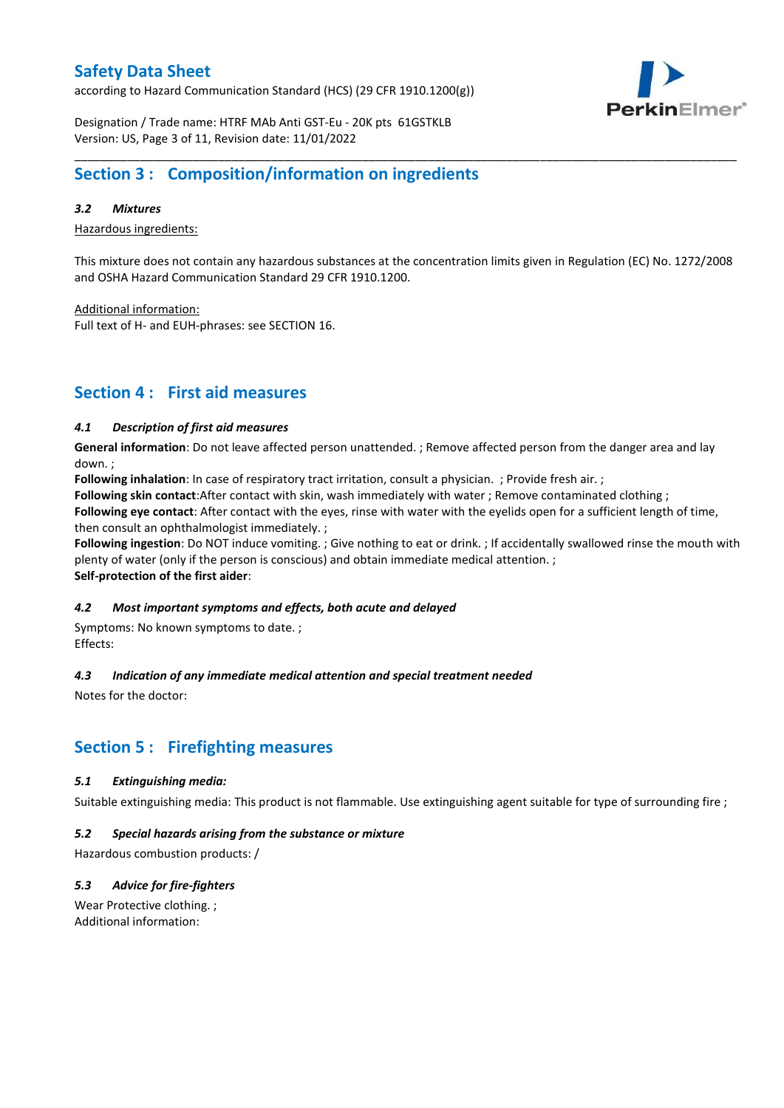according to Hazard Communication Standard (HCS) (29 CFR 1910.1200(g))



Designation / Trade name: HTRF MAb Anti GST-Eu - 20K pts 61GSTKLB Version: US, Page 3 of 11, Revision date: 11/01/2022

### **Section 3 : Composition/information on ingredients**

#### *3.2 Mixtures*

Hazardous ingredients:

This mixture does not contain any hazardous substances at the concentration limits given in Regulation (EC) No. 1272/2008 and OSHA Hazard Communication Standard 29 CFR 1910.1200.

\_\_\_\_\_\_\_\_\_\_\_\_\_\_\_\_\_\_\_\_\_\_\_\_\_\_\_\_\_\_\_\_\_\_\_\_\_\_\_\_\_\_\_\_\_\_\_\_\_\_\_\_\_\_\_\_\_\_\_\_\_\_\_\_\_\_\_\_\_\_\_\_\_\_\_\_\_\_\_\_\_\_\_\_\_\_\_\_\_\_\_\_\_\_\_\_\_\_\_\_\_

Additional information:

Full text of H- and EUH-phrases: see SECTION 16.

### **Section 4 : First aid measures**

#### *4.1 Description of first aid measures*

**General information**: Do not leave affected person unattended. ; Remove affected person from the danger area and lay down. ;

**Following inhalation**: In case of respiratory tract irritation, consult a physician. ; Provide fresh air. ;

**Following skin contact**:After contact with skin, wash immediately with water ; Remove contaminated clothing ;

**Following eye contact**: After contact with the eyes, rinse with water with the eyelids open for a sufficient length of time, then consult an ophthalmologist immediately. ;

**Following ingestion**: Do NOT induce vomiting. ; Give nothing to eat or drink. ; If accidentally swallowed rinse the mouth with plenty of water (only if the person is conscious) and obtain immediate medical attention. ; **Self-protection of the first aider**:

#### *4.2 Most important symptoms and effects, both acute and delayed*

Symptoms: No known symptoms to date. ; Effects:

#### *4.3 Indication of any immediate medical attention and special treatment needed*

Notes for the doctor:

### **Section 5 : Firefighting measures**

#### *5.1 Extinguishing media:*

Suitable extinguishing media: This product is not flammable. Use extinguishing agent suitable for type of surrounding fire ;

#### *5.2 Special hazards arising from the substance or mixture*

Hazardous combustion products: /

#### *5.3 Advice for fire-fighters*

Wear Protective clothing. ; Additional information: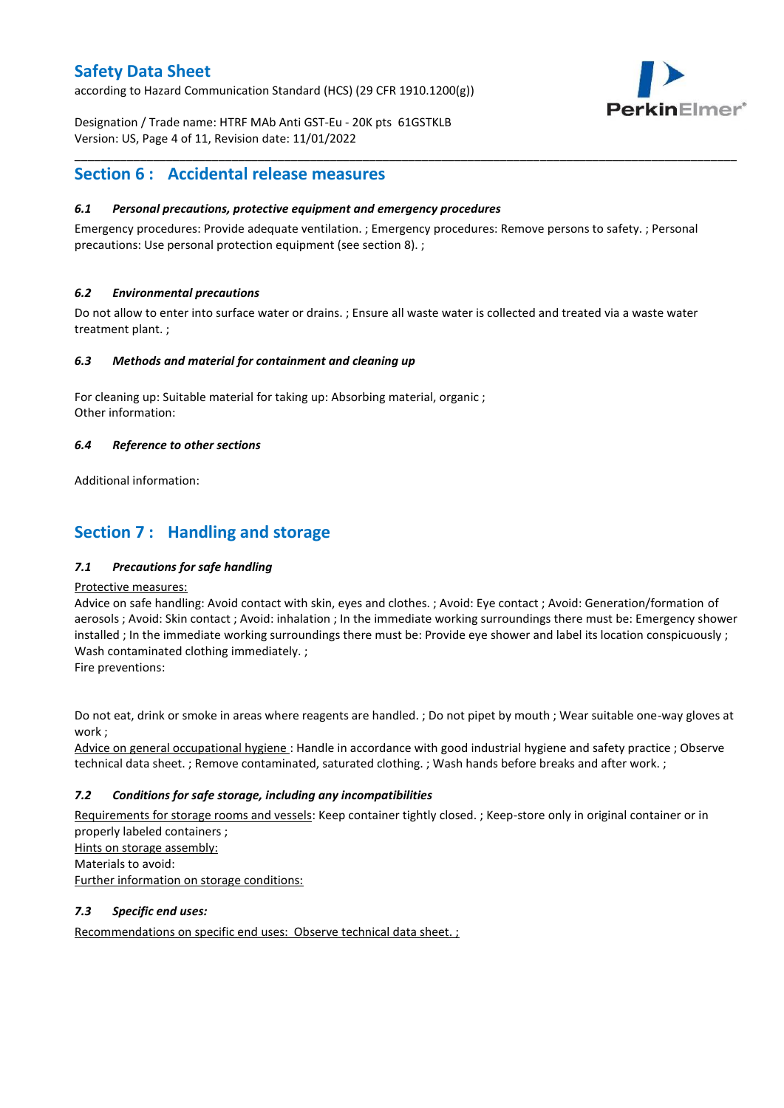according to Hazard Communication Standard (HCS) (29 CFR 1910.1200(g))



Designation / Trade name: HTRF MAb Anti GST-Eu - 20K pts 61GSTKLB Version: US, Page 4 of 11, Revision date: 11/01/2022

### **Section 6 : Accidental release measures**

#### *6.1 Personal precautions, protective equipment and emergency procedures*

Emergency procedures: Provide adequate ventilation. ; Emergency procedures: Remove persons to safety. ; Personal precautions: Use personal protection equipment (see section 8). ;

\_\_\_\_\_\_\_\_\_\_\_\_\_\_\_\_\_\_\_\_\_\_\_\_\_\_\_\_\_\_\_\_\_\_\_\_\_\_\_\_\_\_\_\_\_\_\_\_\_\_\_\_\_\_\_\_\_\_\_\_\_\_\_\_\_\_\_\_\_\_\_\_\_\_\_\_\_\_\_\_\_\_\_\_\_\_\_\_\_\_\_\_\_\_\_\_\_\_\_\_\_

#### *6.2 Environmental precautions*

Do not allow to enter into surface water or drains. ; Ensure all waste water is collected and treated via a waste water treatment plant. ;

#### *6.3 Methods and material for containment and cleaning up*

For cleaning up: Suitable material for taking up: Absorbing material, organic ; Other information:

#### *6.4 Reference to other sections*

Additional information:

### **Section 7 : Handling and storage**

#### *7.1 Precautions for safe handling*

#### Protective measures:

Advice on safe handling: Avoid contact with skin, eyes and clothes. ; Avoid: Eye contact ; Avoid: Generation/formation of aerosols ; Avoid: Skin contact ; Avoid: inhalation ; In the immediate working surroundings there must be: Emergency shower installed ; In the immediate working surroundings there must be: Provide eye shower and label its location conspicuously; Wash contaminated clothing immediately. ;

Fire preventions:

Do not eat, drink or smoke in areas where reagents are handled. ; Do not pipet by mouth ; Wear suitable one-way gloves at work ;

Advice on general occupational hygiene : Handle in accordance with good industrial hygiene and safety practice ; Observe technical data sheet. ; Remove contaminated, saturated clothing. ; Wash hands before breaks and after work. ;

#### *7.2 Conditions for safe storage, including any incompatibilities*

Requirements for storage rooms and vessels: Keep container tightly closed. ; Keep-store only in original container or in properly labeled containers ; Hints on storage assembly: Materials to avoid:

Further information on storage conditions:

#### *7.3 Specific end uses:*

Recommendations on specific end uses: Observe technical data sheet. ;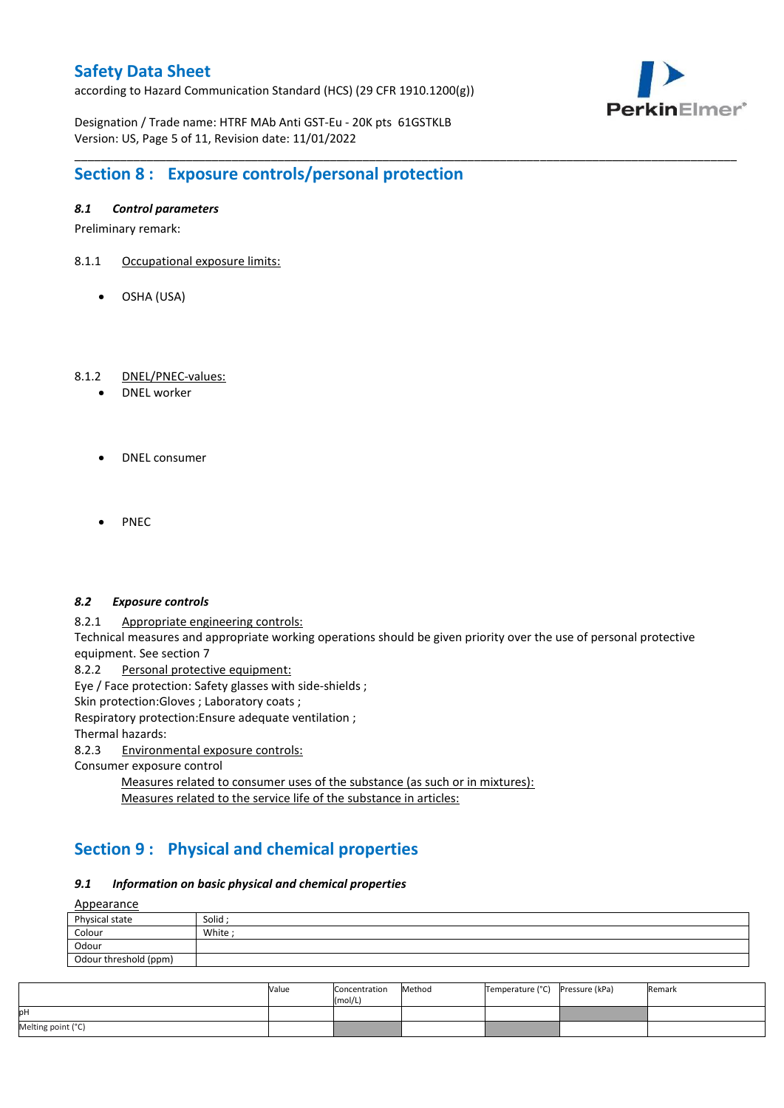according to Hazard Communication Standard (HCS) (29 CFR 1910.1200(g))



Designation / Trade name: HTRF MAb Anti GST-Eu - 20K pts 61GSTKLB Version: US, Page 5 of 11, Revision date: 11/01/2022

# **Section 8 : Exposure controls/personal protection**

#### *8.1 Control parameters*

Preliminary remark:

- 8.1.1 Occupational exposure limits:
	- OSHA (USA)

#### 8.1.2 DNEL/PNEC-values:

- DNEL worker
- DNEL consumer
- PNEC

#### *8.2 Exposure controls*

8.2.1 Appropriate engineering controls:

Technical measures and appropriate working operations should be given priority over the use of personal protective equipment. See section 7

\_\_\_\_\_\_\_\_\_\_\_\_\_\_\_\_\_\_\_\_\_\_\_\_\_\_\_\_\_\_\_\_\_\_\_\_\_\_\_\_\_\_\_\_\_\_\_\_\_\_\_\_\_\_\_\_\_\_\_\_\_\_\_\_\_\_\_\_\_\_\_\_\_\_\_\_\_\_\_\_\_\_\_\_\_\_\_\_\_\_\_\_\_\_\_\_\_\_\_\_\_

8.2.2 Personal protective equipment:

Eye / Face protection: Safety glasses with side-shields ;

Skin protection: Gloves ; Laboratory coats ;

Respiratory protection:Ensure adequate ventilation ;

Thermal hazards:

8.2.3 Environmental exposure controls:

Consumer exposure control

Measures related to consumer uses of the substance (as such or in mixtures): Measures related to the service life of the substance in articles:

# **Section 9 : Physical and chemical properties**

#### *9.1 Information on basic physical and chemical properties*

**A**ppearance

| <u>rippediance</u>    |         |  |  |  |  |
|-----------------------|---------|--|--|--|--|
| Physical state        | Solid ; |  |  |  |  |
| Colour                | White;  |  |  |  |  |
| Odour                 |         |  |  |  |  |
| Odour threshold (ppm) |         |  |  |  |  |

|                    | Value | Concentration<br>(mol/L) | Method | Temperature (°C) Pressure (kPa) | Remark |
|--------------------|-------|--------------------------|--------|---------------------------------|--------|
| pН                 |       |                          |        |                                 |        |
| Melting point (°C) |       |                          |        |                                 |        |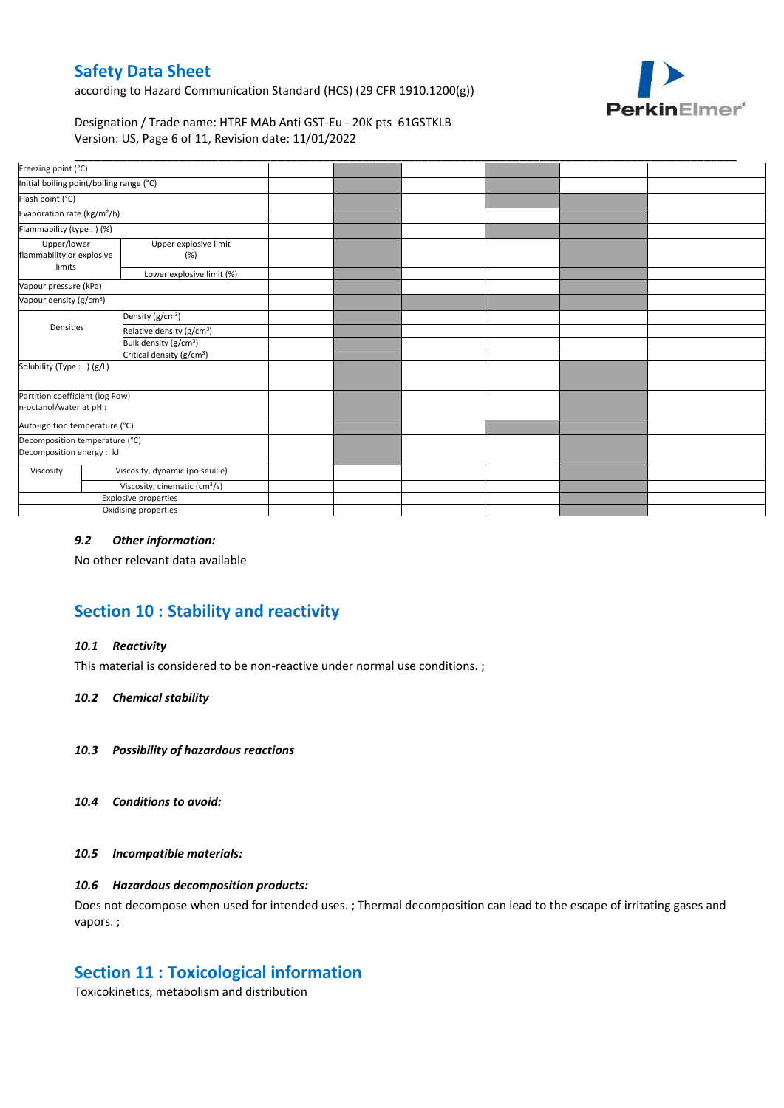according to Hazard Communication Standard (HCS) (29 CFR 1910.1200(g))



Designation / Trade name: HTRF MAb Anti GST-Eu - 20K pts 61GSTKLB Version: US, Page 6 of 11, Revision date: 11/01/2022

| Freezing point (°C)                                         |                                           |                                       |  |  |  |
|-------------------------------------------------------------|-------------------------------------------|---------------------------------------|--|--|--|
| Initial boiling point/boiling range (°C)                    |                                           |                                       |  |  |  |
| Flash point (°C)                                            |                                           |                                       |  |  |  |
| Evaporation rate (kg/m <sup>2</sup> /h)                     |                                           |                                       |  |  |  |
| Flammability (type:) (%)                                    |                                           |                                       |  |  |  |
| Upper/lower<br>flammability or explosive<br>limits          | Upper explosive limit<br>(%)              |                                       |  |  |  |
|                                                             |                                           | Lower explosive limit (%)             |  |  |  |
| Vapour pressure (kPa)                                       |                                           |                                       |  |  |  |
| Vapour density (g/cm <sup>3</sup> )                         |                                           |                                       |  |  |  |
|                                                             |                                           | Density (g/cm <sup>3</sup> )          |  |  |  |
| Densities                                                   |                                           | Relative density (g/cm <sup>3</sup> ) |  |  |  |
|                                                             |                                           | Bulk density (g/cm <sup>3</sup> )     |  |  |  |
|                                                             |                                           | Critical density (g/cm <sup>3</sup> ) |  |  |  |
| Solubility (Type: ) (g/L)                                   |                                           |                                       |  |  |  |
| Partition coefficient (log Pow)<br>n-octanol/water at pH :  |                                           |                                       |  |  |  |
| Auto-ignition temperature (°C)                              |                                           |                                       |  |  |  |
| Decomposition temperature (°C)<br>Decomposition energy : kJ |                                           |                                       |  |  |  |
| Viscosity                                                   |                                           | Viscosity, dynamic (poiseuille)       |  |  |  |
|                                                             | Viscosity, cinematic (cm <sup>3</sup> /s) |                                       |  |  |  |
|                                                             |                                           | Explosive properties                  |  |  |  |
|                                                             |                                           | Oxidising properties                  |  |  |  |

#### *9.2 Other information:*

No other relevant data available

# **Section 10 : Stability and reactivity**

#### *10.1 Reactivity*

This material is considered to be non-reactive under normal use conditions. ;

#### *10.2 Chemical stability*

- *10.3 Possibility of hazardous reactions*
- *10.4 Conditions to avoid:*

#### *10.5 Incompatible materials:*

#### *10.6 Hazardous decomposition products:*

Does not decompose when used for intended uses. ; Thermal decomposition can lead to the escape of irritating gases and vapors. ;

### **Section 11 : Toxicological information**

Toxicokinetics, metabolism and distribution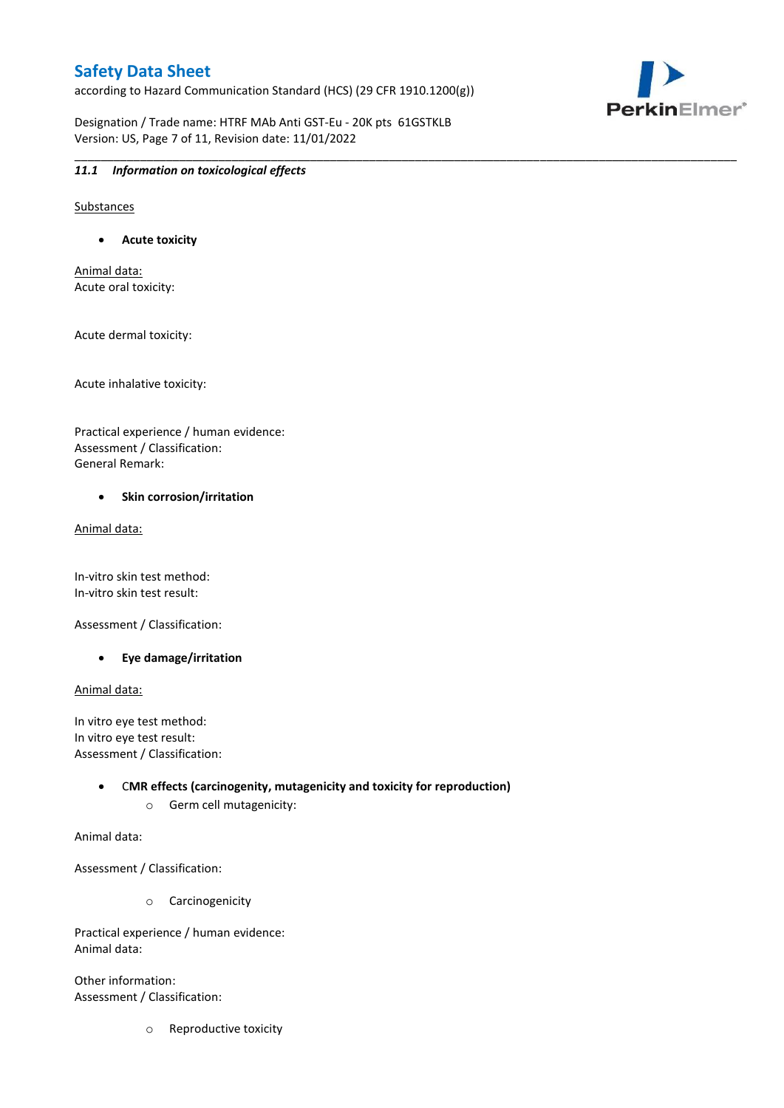according to Hazard Communication Standard (HCS) (29 CFR 1910.1200(g))

\_\_\_\_\_\_\_\_\_\_\_\_\_\_\_\_\_\_\_\_\_\_\_\_\_\_\_\_\_\_\_\_\_\_\_\_\_\_\_\_\_\_\_\_\_\_\_\_\_\_\_\_\_\_\_\_\_\_\_\_\_\_\_\_\_\_\_\_\_\_\_\_\_\_\_\_\_\_\_\_\_\_\_\_\_\_\_\_\_\_\_\_\_\_\_\_\_\_\_\_\_



Designation / Trade name: HTRF MAb Anti GST-Eu - 20K pts 61GSTKLB Version: US, Page 7 of 11, Revision date: 11/01/2022

#### *11.1 Information on toxicological effects*

Substances

**Acute toxicity**

Animal data: Acute oral toxicity:

Acute dermal toxicity:

Acute inhalative toxicity:

Practical experience / human evidence: Assessment / Classification: General Remark:

#### **•** Skin corrosion/irritation

Animal data:

In-vitro skin test method: In-vitro skin test result:

Assessment / Classification:

**Eye damage/irritation**

Animal data:

In vitro eye test method: In vitro eye test result: Assessment / Classification:

> C**MR effects (carcinogenity, mutagenicity and toxicity for reproduction)** o Germ cell mutagenicity:

Animal data:

Assessment / Classification:

o Carcinogenicity

Practical experience / human evidence: Animal data:

Other information: Assessment / Classification:

o Reproductive toxicity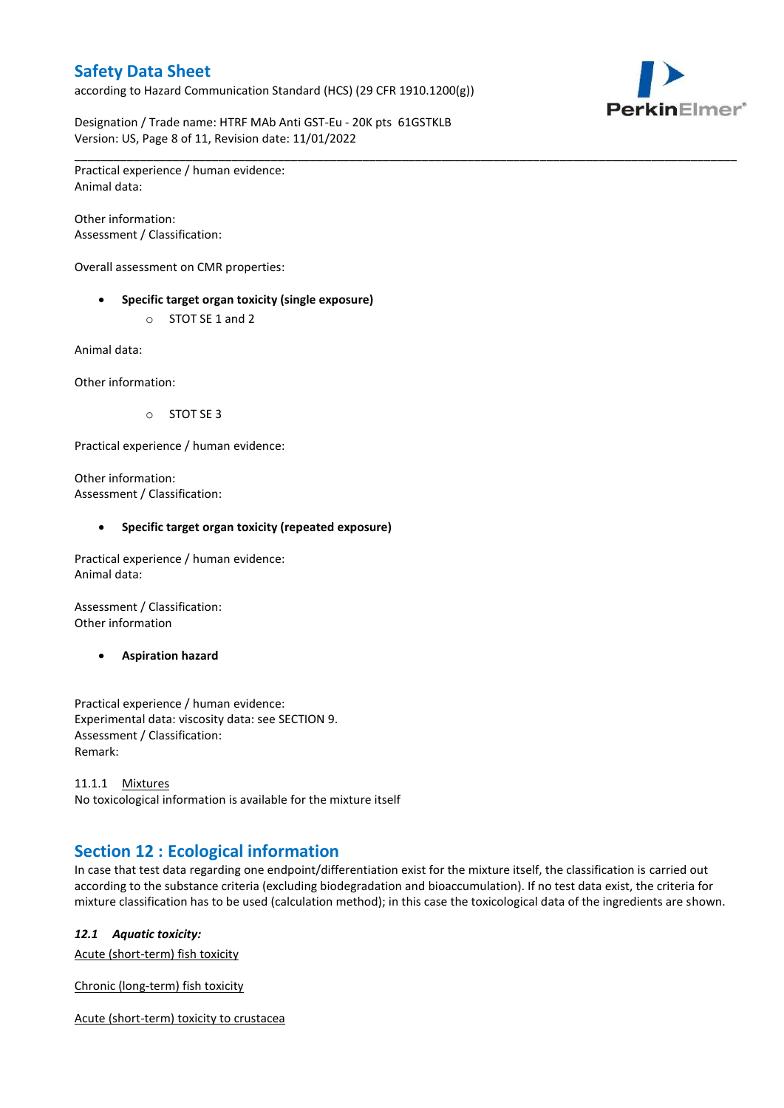according to Hazard Communication Standard (HCS) (29 CFR 1910.1200(g))

\_\_\_\_\_\_\_\_\_\_\_\_\_\_\_\_\_\_\_\_\_\_\_\_\_\_\_\_\_\_\_\_\_\_\_\_\_\_\_\_\_\_\_\_\_\_\_\_\_\_\_\_\_\_\_\_\_\_\_\_\_\_\_\_\_\_\_\_\_\_\_\_\_\_\_\_\_\_\_\_\_\_\_\_\_\_\_\_\_\_\_\_\_\_\_\_\_\_\_\_\_



Designation / Trade name: HTRF MAb Anti GST-Eu - 20K pts 61GSTKLB Version: US, Page 8 of 11, Revision date: 11/01/2022

Practical experience / human evidence: Animal data:

Other information: Assessment / Classification:

Overall assessment on CMR properties:

- **Specific target organ toxicity (single exposure)**
	- o STOT SE 1 and 2

Animal data:

Other information:

o STOT SE 3

Practical experience / human evidence:

Other information: Assessment / Classification:

#### **Specific target organ toxicity (repeated exposure)**

Practical experience / human evidence: Animal data:

Assessment / Classification: Other information

**Aspiration hazard**

Practical experience / human evidence: Experimental data: viscosity data: see SECTION 9. Assessment / Classification: Remark:

11.1.1 Mixtures No toxicological information is available for the mixture itself

### **Section 12 : Ecological information**

In case that test data regarding one endpoint/differentiation exist for the mixture itself, the classification is carried out according to the substance criteria (excluding biodegradation and bioaccumulation). If no test data exist, the criteria for mixture classification has to be used (calculation method); in this case the toxicological data of the ingredients are shown.

#### *12.1 Aquatic toxicity:*

Acute (short-term) fish toxicity

Chronic (long-term) fish toxicity

Acute (short-term) toxicity to crustacea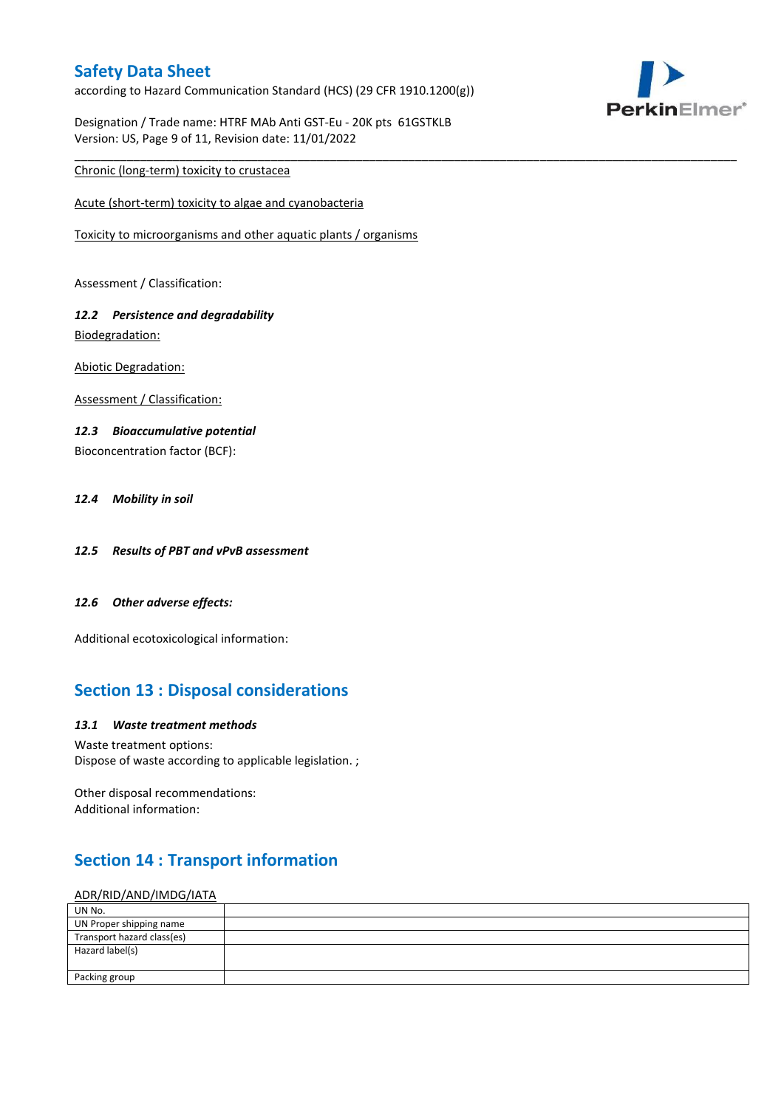according to Hazard Communication Standard (HCS) (29 CFR 1910.1200(g))

\_\_\_\_\_\_\_\_\_\_\_\_\_\_\_\_\_\_\_\_\_\_\_\_\_\_\_\_\_\_\_\_\_\_\_\_\_\_\_\_\_\_\_\_\_\_\_\_\_\_\_\_\_\_\_\_\_\_\_\_\_\_\_\_\_\_\_\_\_\_\_\_\_\_\_\_\_\_\_\_\_\_\_\_\_\_\_\_\_\_\_\_\_\_\_\_\_\_\_\_\_



Designation / Trade name: HTRF MAb Anti GST-Eu - 20K pts 61GSTKLB Version: US, Page 9 of 11, Revision date: 11/01/2022

#### Chronic (long-term) toxicity to crustacea

Acute (short-term) toxicity to algae and cyanobacteria

Toxicity to microorganisms and other aquatic plants / organisms

Assessment / Classification:

#### *12.2 Persistence and degradability* Biodegradation:

Abiotic Degradation:

Assessment / Classification:

#### *12.3 Bioaccumulative potential*

Bioconcentration factor (BCF):

#### *12.4 Mobility in soil*

- *12.5 Results of PBT and vPvB assessment*
- *12.6 Other adverse effects:*

Additional ecotoxicological information:

### **Section 13 : Disposal considerations**

#### *13.1 Waste treatment methods*

Waste treatment options: Dispose of waste according to applicable legislation. ;

Other disposal recommendations: Additional information:

### **Section 14 : Transport information**

#### ADR/RID/AND/IMDG/IATA

| UN No.                     |  |
|----------------------------|--|
| UN Proper shipping name    |  |
| Transport hazard class(es) |  |
| Hazard label(s)            |  |
|                            |  |
| Packing group              |  |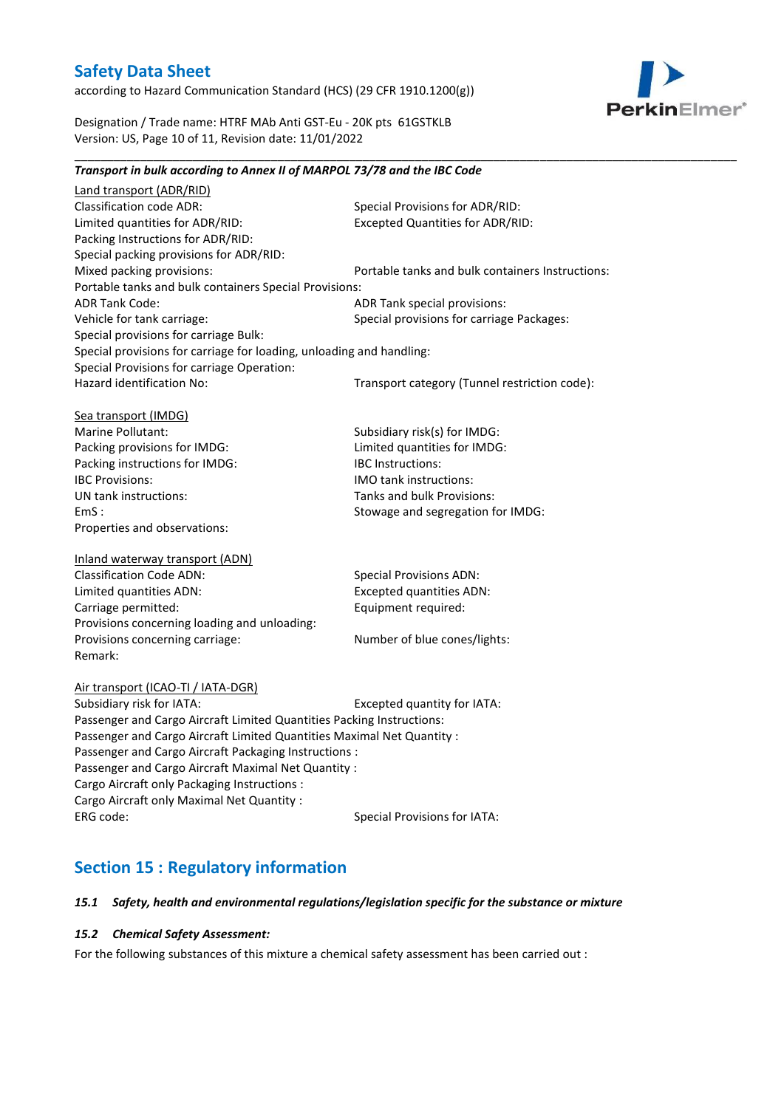according to Hazard Communication Standard (HCS) (29 CFR 1910.1200(g))

*Transport in bulk according to Annex II of MARPOL 73/78 and the IBC Code*



Designation / Trade name: HTRF MAb Anti GST-Eu - 20K pts 61GSTKLB Version: US, Page 10 of 11, Revision date: 11/01/2022

### Land transport (ADR/RID) Classification code ADR: Special Provisions for ADR/RID:<br>
Limited quantities for ADR/RID: Excepted Quantities for ADR/RI Excepted Quantities for ADR/RID: Packing Instructions for ADR/RID: Special packing provisions for ADR/RID: Mixed packing provisions: Portable tanks and bulk containers Instructions: Portable tanks and bulk containers Special Provisions: ADR Tank Code: ADR Tank special provisions: Vehicle for tank carriage:  $S$  Special provisions for carriage Packages: Special provisions for carriage Bulk: Special provisions for carriage for loading, unloading and handling: Special Provisions for carriage Operation: Hazard identification No: Transport category (Tunnel restriction code): Sea transport (IMDG) Marine Pollutant: Subsidiary risk(s) for IMDG: Packing provisions for IMDG: Limited quantities for IMDG: Packing instructions for IMDG: IBC Instructions: IBC Provisions: IMO tank instructions: UN tank instructions: Tanks and bulk Provisions: EmS : Stowage and segregation for IMDG: Properties and observations: Inland waterway transport (ADN) Classification Code ADN: Special Provisions ADN: Limited quantities ADN: Excepted quantities ADN: Carriage permitted: Carriage permitted: Provisions concerning loading and unloading: Provisions concerning carriage: Number of blue cones/lights: Remark: Air transport (ICAO-TI / IATA-DGR) Subsidiary risk for IATA: Excepted quantity for IATA: Passenger and Cargo Aircraft Limited Quantities Packing Instructions: Passenger and Cargo Aircraft Limited Quantities Maximal Net Quantity : Passenger and Cargo Aircraft Packaging Instructions : Passenger and Cargo Aircraft Maximal Net Quantity : Cargo Aircraft only Packaging Instructions : Cargo Aircraft only Maximal Net Quantity : ERG code: Special Provisions for IATA: **Section 15 : Regulatory information**

\_\_\_\_\_\_\_\_\_\_\_\_\_\_\_\_\_\_\_\_\_\_\_\_\_\_\_\_\_\_\_\_\_\_\_\_\_\_\_\_\_\_\_\_\_\_\_\_\_\_\_\_\_\_\_\_\_\_\_\_\_\_\_\_\_\_\_\_\_\_\_\_\_\_\_\_\_\_\_\_\_\_\_\_\_\_\_\_\_\_\_\_\_\_\_\_\_\_\_\_\_

#### *15.1 Safety, health and environmental regulations/legislation specific for the substance or mixture*

#### *15.2 Chemical Safety Assessment:*

For the following substances of this mixture a chemical safety assessment has been carried out :